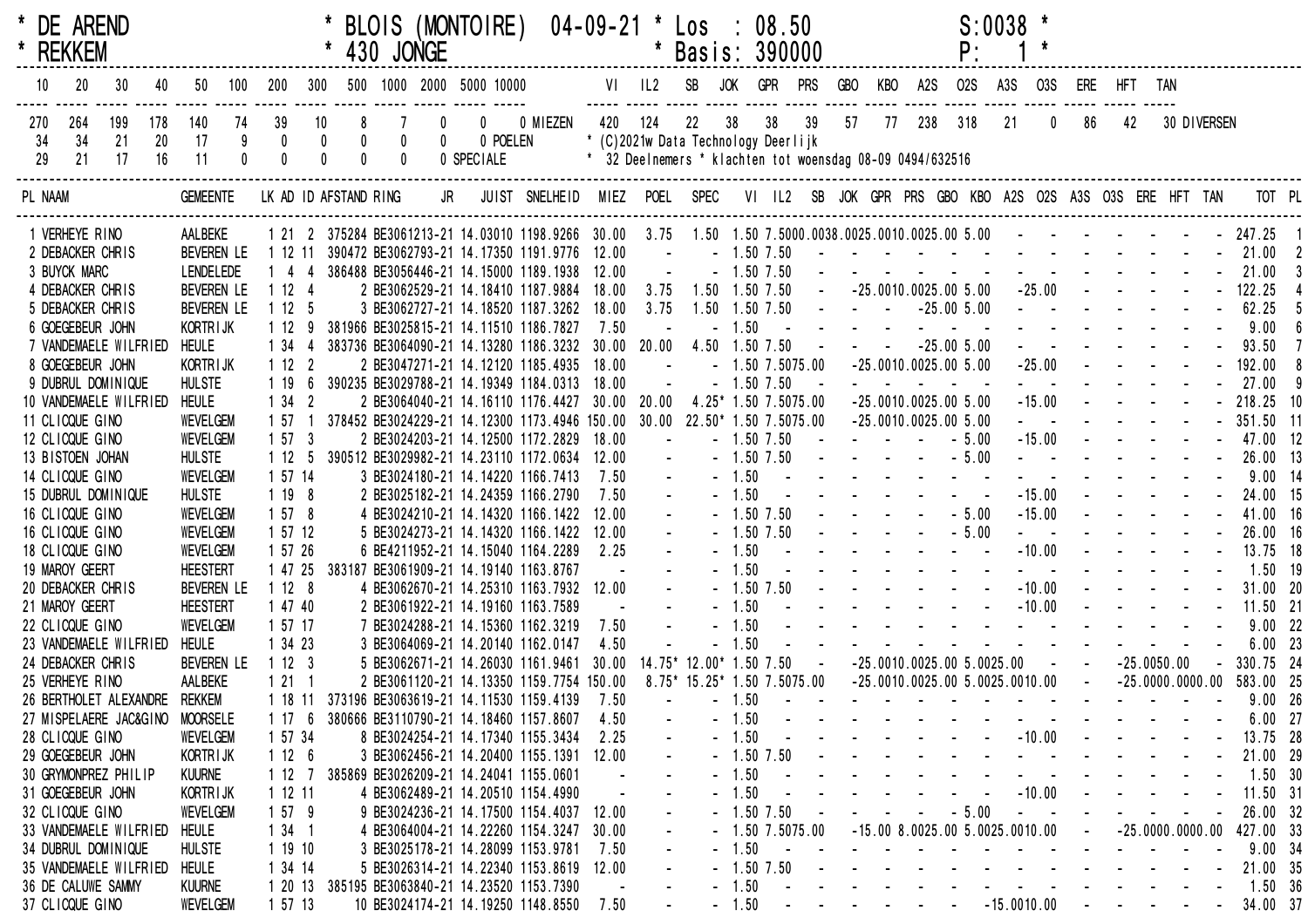| * REKKEM        |                 | * DE AREND             |           |                               |                          |             |                                                    |                                                   | 430 JONGE   |                             | BLOIS (MONTOIRE) 04-09-21 * Los :                                                                                            | *<br>---------------------------- |                                                           |            | * Basis: 390000                           |         | 08.50          |                         |                                                                                       |    |                                   | $S:0038$ *<br>P:                                                                                                                                                                                                                          |               |                     |                                                                                                        |                                                                 |                      |             |               |  |
|-----------------|-----------------|------------------------|-----------|-------------------------------|--------------------------|-------------|----------------------------------------------------|---------------------------------------------------|-------------|-----------------------------|------------------------------------------------------------------------------------------------------------------------------|-----------------------------------|-----------------------------------------------------------|------------|-------------------------------------------|---------|----------------|-------------------------|---------------------------------------------------------------------------------------|----|-----------------------------------|-------------------------------------------------------------------------------------------------------------------------------------------------------------------------------------------------------------------------------------------|---------------|---------------------|--------------------------------------------------------------------------------------------------------|-----------------------------------------------------------------|----------------------|-------------|---------------|--|
| 10              | 20              | 30                     | 40        | 50                            | 100                      | 200         | 300                                                |                                                   |             |                             | 500 1000 2000 5000 10000                                                                                                     |                                   |                                                           | VI IL2 SB  |                                           | JOK     | GPR PRS        |                         | GBO                                                                                   |    | KBO A2S                           | <b>02S</b>                                                                                                                                                                                                                                | A3S           | <b>03S</b>          |                                                                                                        | ERE HFT TAN                                                     |                      |             |               |  |
| 270<br>34       | 264<br>34       | 199<br>21              | 178<br>20 | 140<br>17                     | 74<br>$_{\rm 0}^{\rm 9}$ | 39          | 10<br>$\begin{smallmatrix} 0\\0 \end{smallmatrix}$ | 8<br>$\begin{smallmatrix} 0\\0 \end{smallmatrix}$ | $\pmb{0}$   | $\mathbf 0$<br>$\mathbf{0}$ | 0 POELEN                                                                                                                     | 0 0 MIEZEN                        | 420 124                                                   |            | 22<br>* (C)2021w Data Technology Deerlijk | 38      |                | 38 39                   | 57                                                                                    | 77 | 238 318                           |                                                                                                                                                                                                                                           | 21            | $\mathbf 0$         | 86                                                                                                     | 42                                                              |                      | 30 DIVERSEN |               |  |
| 29              | 21              | 17                     | 16        | 11                            |                          | $\mathbf 0$ |                                                    |                                                   | $\mathbf 0$ |                             | 0 SPECIALE                                                                                                                   |                                   | * 32 Deelnemers * klachten tot woensdag 08-09 0494/632516 |            |                                           |         |                |                         |                                                                                       |    |                                   |                                                                                                                                                                                                                                           |               |                     |                                                                                                        |                                                                 |                      |             |               |  |
| PL NAAM         |                 |                        |           | <b>GEMEENTE</b>               |                          |             |                                                    | LK AD ID AFSTAND RING                             |             | <b>JR</b>                   |                                                                                                                              | JUIST SNELHEID MIEZ POEL SPEC     |                                                           |            |                                           |         |                |                         |                                                                                       |    |                                   | VI IL2 SB JOK GPR PRS GBO KBO A2S O2S A3S O3S ERE HFT TAN                                                                                                                                                                                 |               |                     |                                                                                                        |                                                                 |                      |             | TOT PL        |  |
| 1 VERHEYE RINO  |                 |                        |           | AALBEKE                       |                          |             |                                                    |                                                   |             |                             | 1 21 2 375284 BE3061213-21 14.03010 1198.9266 30.00 3.75 1.50 1.50 7.5000.0038.0025.0010.0025.00 5.00 - - - - - - - - 247.25 |                                   |                                                           |            |                                           |         |                |                         |                                                                                       |    |                                   |                                                                                                                                                                                                                                           |               |                     |                                                                                                        |                                                                 |                      |             |               |  |
|                 |                 | 2 DEBACKER CHRIS       |           | <b>BEVEREN LE</b>             |                          | 1 12 11     |                                                    |                                                   |             |                             | 390472 BE3062793-21 14.17350 1191.9776 12.00                                                                                 |                                   |                                                           | $\sim 100$ |                                           |         | $-1.50$ $7.50$ |                         |                                                                                       |    |                                   | $\mathcal{A}$ . The contribution of the contribution of the contribution of $\mathcal{A}$                                                                                                                                                 |               |                     |                                                                                                        |                                                                 |                      |             | 21.00         |  |
| 3 BUYCK MARC    |                 |                        |           | <b>LENDELEDE</b>              |                          | $144$       |                                                    |                                                   |             |                             | 386488 BE3056446-21 14.15000 1189.1938 12.00                                                                                 |                                   |                                                           |            |                                           |         | $-1.50$ 7.50   |                         |                                                                                       |    |                                   | $\mathcal{L}^{\mathcal{A}}$ . The set of the set of the set of the set of the set of the set of the set of the set of the set of the set of the set of the set of the set of the set of the set of the set of the set of the set of the s |               |                     |                                                                                                        |                                                                 |                      |             | 21.00         |  |
|                 |                 | 4 DEBACKER CHRIS       |           | <b>BEVEREN LE</b>             |                          | 1124        |                                                    |                                                   |             |                             | 2 BE3062529-21 14.18410 1187.9884                                                                                            |                                   | 18.00                                                     | 3.75       | 1.50 1.50 7.50                            |         |                | $\sim 100$ km s $^{-1}$ |                                                                                       |    |                                   | $-25.0010.0025.005.00$                                                                                                                                                                                                                    |               |                     | $-25.00$ - - - -                                                                                       |                                                                 |                      |             | 122.25        |  |
|                 |                 | 5 DEBACKER CHRIS       |           | <b>BEVEREN LE</b>             |                          | 1125        |                                                    |                                                   |             |                             | 3 BE3062727-21 14.18520 1187.3262                                                                                            |                                   | 18.00                                                     | 3.75       | 1.50 1.50 7.50                            |         |                |                         | <b>Contract Contract Contract</b>                                                     |    |                                   | $-25.005.00$                                                                                                                                                                                                                              |               |                     | $\mathbf{u} = \mathbf{u} \cdot \mathbf{u} = \mathbf{u} \cdot \mathbf{u} = \mathbf{u} \cdot \mathbf{u}$ |                                                                 |                      |             | 62.25         |  |
|                 |                 | 6 GOEGEBEUR JOHN       |           | KORTR I JK                    |                          | 1129        |                                                    |                                                   |             |                             | 381966 BE3025815-21 14.11510 1186.7827                                                                                       |                                   | 7.50                                                      |            |                                           | $-1.50$ | $\sim 10$      |                         |                                                                                       |    |                                   |                                                                                                                                                                                                                                           |               |                     |                                                                                                        |                                                                 |                      |             | 9.00          |  |
|                 |                 | 7 VANDEMAELE WILFRIED  |           | <b>HEULE</b>                  |                          | 1 34        |                                                    |                                                   |             |                             | 383736 BE3064090-21 14.13280 1186.3232 30.00 20.00                                                                           |                                   |                                                           |            | 4.50 1.50 7.50                            |         |                |                         | $\mathcal{L}(\mathbf{z})$ and $\mathcal{L}(\mathbf{z})$ and $\mathcal{L}(\mathbf{z})$ |    |                                   | $-25.005.00$                                                                                                                                                                                                                              |               |                     |                                                                                                        |                                                                 |                      |             | 93.50         |  |
|                 |                 | 8 GOEGEBEUR JOHN       |           | <b>KORTRIJK</b>               |                          | 1122        |                                                    |                                                   |             |                             | 2 BE3047271-21 14.12120 1185.4935                                                                                            |                                   | 18.00                                                     |            |                                           |         |                | $-1.5075.00$            |                                                                                       |    |                                   | $-25.0010.0025.005.00$                                                                                                                                                                                                                    |               | $-25.00$            |                                                                                                        |                                                                 |                      |             | 192.00        |  |
|                 |                 | 9 DUBRUL DOMINIQUE     |           | <b>HULSTE</b>                 |                          | 1 19        |                                                    |                                                   |             |                             | 390235 BE3029788-21 14.19349 1184.0313                                                                                       |                                   | 18.00                                                     |            |                                           |         | $-1.50$ $7.50$ |                         |                                                                                       |    |                                   |                                                                                                                                                                                                                                           |               |                     |                                                                                                        |                                                                 |                      |             | 27.00         |  |
|                 |                 | 10 VANDEMAELE WILFRIED |           | <b>HEULE</b>                  |                          | 1342        |                                                    |                                                   |             |                             | 2 BE3064040-21 14.16110 1176.4427                                                                                            |                                   | $30.00$ $20.00$                                           |            |                                           |         |                | 4.25* 1.50 7.5075.00    |                                                                                       |    |                                   | $-25.0010.0025.005.00$                                                                                                                                                                                                                    |               | $-15.00$            |                                                                                                        |                                                                 |                      |             | 218.25 10     |  |
| 11 CLICQUE GINO |                 |                        |           | <b>WEVELGEM</b>               |                          | 1 57        |                                                    |                                                   |             |                             | 378452 BE3024229-21 14.12300 1173.4946 150.00 30.00 22.50* 1.50 7.5075.00                                                    |                                   |                                                           |            |                                           |         |                |                         |                                                                                       |    |                                   | $-25.0010.0025.005.00$                                                                                                                                                                                                                    |               | $\omega_{\rm{max}}$ |                                                                                                        |                                                                 |                      |             | $-351.50$ 11  |  |
| 12 CLICQUE GINO |                 |                        |           | <b>WEVELGEM</b>               |                          | 1573        |                                                    |                                                   |             |                             | 2 BE3024203-21 14.12500 1172.2829                                                                                            |                                   | 18.00                                                     |            |                                           |         | $-1.50$ 7.50   |                         | and the state of the state of the                                                     |    |                                   | $-5.00$                                                                                                                                                                                                                                   |               | $-15.00$            |                                                                                                        |                                                                 |                      |             | 47.00 12      |  |
|                 |                 | 13 BISTOEN JOHAN       |           | <b>HULSTE</b>                 |                          | 1125        |                                                    |                                                   |             |                             | 390512 BE3029982-21 14.23110 1172.0634 12.00                                                                                 |                                   |                                                           |            |                                           |         | $-1.50$ 7.50   |                         |                                                                                       |    |                                   | $     5.00$                                                                                                                                                                                                                               |               |                     | $\mathcal{L}^{\mathcal{A}}$ . The set of the set of $\mathcal{L}^{\mathcal{A}}$                        |                                                                 |                      |             | 26.00 13      |  |
| 14 CLICQUE GINO |                 |                        |           | <b>WEVELGEM</b>               |                          | 1 57 14     |                                                    |                                                   |             |                             | 3 BE3024180-21 14.14220 1166.7413                                                                                            |                                   | 7.50                                                      |            |                                           | $-1.50$ |                |                         |                                                                                       |    |                                   | $\mathbf{L}^{\mathbf{1}}$ , and $\mathbf{L}^{\mathbf{2}}$ , and $\mathbf{L}^{\mathbf{3}}$ , and $\mathbf{L}^{\mathbf{3}}$                                                                                                                 |               |                     |                                                                                                        |                                                                 |                      |             | $9.00$ 14     |  |
|                 |                 | 15 DUBRUL DOMINIQUE    |           | <b>HULSTE</b>                 |                          | 1198        |                                                    |                                                   |             |                             | 2 BE3025182-21 14.24359 1166.2790                                                                                            |                                   | 7.50                                                      |            |                                           | $-1.50$ |                |                         |                                                                                       |    |                                   |                                                                                                                                                                                                                                           |               | $-15.00$            |                                                                                                        | $\Delta \phi = \Delta \phi$                                     |                      |             | 24.00 15      |  |
| 16 CLICQUE GINO |                 |                        |           | <b>WEVELGEM</b>               |                          | 1578        |                                                    |                                                   |             |                             | 4 BE3024210-21 14.14320 1166.1422                                                                                            |                                   | 12.00                                                     |            |                                           |         | $-1.50$ $7.50$ |                         |                                                                                       |    |                                   | $-5.00$                                                                                                                                                                                                                                   |               | $-15.00$            |                                                                                                        | $\omega_{\rm{max}}$ and                                         |                      |             | 41.00 16      |  |
| 16 CLICQUE GINO |                 |                        |           | WEVELGEM                      |                          | 1 57 12     |                                                    |                                                   |             |                             | 5 BE3024273-21 14.14320 1166.1422                                                                                            |                                   | 12.00                                                     |            |                                           |         | $-1.50$ 7.50   |                         |                                                                                       |    |                                   | $-5.00$                                                                                                                                                                                                                                   |               | $\Delta \phi = 0.1$ |                                                                                                        |                                                                 |                      |             | 26.00 16      |  |
| 18 CLICQUE GINO |                 |                        |           | <b>WEVELGEM</b>               |                          | 1 57 26     |                                                    |                                                   |             |                             | 6 BE4211952-21 14.15040 1164.2289                                                                                            |                                   | 2.25                                                      |            |                                           | $-1.50$ |                |                         |                                                                                       |    |                                   |                                                                                                                                                                                                                                           |               | $-10.00$            |                                                                                                        |                                                                 | $\sim 100$           |             | 13.75 18      |  |
| 19 MAROY GEERT  |                 |                        |           | <b>HEESTERT</b>               |                          | 1 47 25     |                                                    |                                                   |             |                             | 383187 BE3061909-21 14.19140 1163.8767                                                                                       |                                   |                                                           |            |                                           | $-1.50$ |                |                         |                                                                                       |    |                                   |                                                                                                                                                                                                                                           |               |                     |                                                                                                        |                                                                 |                      |             | 1.50 19       |  |
|                 |                 | 20 DEBACKER CHRIS      |           | <b>BEVEREN LE</b>             |                          | 1128        |                                                    |                                                   |             |                             | 4 BE3062670-21 14.25310 1163.7932 12.00                                                                                      |                                   |                                                           |            |                                           |         | $-1.50$ 7.50   |                         |                                                                                       |    | and the state of the state of the |                                                                                                                                                                                                                                           |               | $-10.00$            |                                                                                                        | $\Delta \phi = \Delta \phi$                                     |                      |             | 31.00 20      |  |
| 21 MAROY GEERT  |                 |                        |           | <b>HEESTERT</b>               |                          | 1 47 40     |                                                    |                                                   |             |                             | 2 BE3061922-21 14.19160 1163.7589                                                                                            |                                   |                                                           |            |                                           | $-1.50$ |                |                         |                                                                                       |    |                                   |                                                                                                                                                                                                                                           |               | $-10.00$            |                                                                                                        | $\mathbf{u}^{\prime}=\mathbf{u}^{\prime}+\mathbf{u}^{\prime}$ . |                      |             | 11.50 21      |  |
| 22 CLICQUE GINO |                 |                        |           | <b>WEVELGEM</b>               |                          | 1 57 17     |                                                    |                                                   |             |                             | 7 BE3024288-21 14.15360 1162.3219                                                                                            |                                   | 7.50                                                      |            |                                           | $-1.50$ |                |                         |                                                                                       |    |                                   | and the series of the series of the                                                                                                                                                                                                       |               |                     |                                                                                                        |                                                                 |                      |             | 9.0022        |  |
|                 |                 | 23 VANDEMAELE WILFRIED |           | <b>HEULE</b>                  |                          | 1 34 23     |                                                    |                                                   |             |                             | 3 BE3064069-21 14.20140 1162.0147                                                                                            |                                   | 4.50                                                      |            |                                           | 1.50    |                |                         |                                                                                       |    |                                   |                                                                                                                                                                                                                                           |               |                     |                                                                                                        |                                                                 |                      |             | $6.00$ 23     |  |
|                 |                 | 24 DEBACKER CHRIS      |           | BEVEREN LE                    |                          | 1123        |                                                    |                                                   |             |                             | 5 BE3062671-21 14.26030 1161.9461                                                                                            |                                   |                                                           |            | 30.00 14.75* 12.00* 1.50 7.50             |         |                | $\sim$ $-$              |                                                                                       |    |                                   | $-25.0010.0025.005.0025.00$                                                                                                                                                                                                               |               |                     | $\Delta \phi = 0.000$                                                                                  |                                                                 | $-25.0050.00$        |             | 330.75 24     |  |
| 25 VERHEYE RINO |                 |                        |           | AALBEKE                       |                          | 1211        |                                                    |                                                   |             |                             | 2 BE3061120-21 14.13350 1159.7754 150.00                                                                                     |                                   |                                                           |            | 8.75* 15.25* 1.50 7.5075.00               |         |                |                         |                                                                                       |    |                                   | $-25.0010.0025.005.0025.0010.00$                                                                                                                                                                                                          |               |                     | $\sim 10$                                                                                              |                                                                 | $-25.0000.0000.00$   |             | 583.00 25     |  |
|                 |                 |                        |           | 26 BERTHOLET ALEXANDRE REKKEM |                          |             |                                                    |                                                   |             |                             | 1 18 11 373196 BE3063619-21 14.11530 1159.4139                                                                               |                                   | 7.50                                                      |            |                                           | $-1.50$ |                |                         |                                                                                       |    |                                   | $\mathcal{A}$ . The contribution of the contribution of the contribution of $\mathcal{A}$                                                                                                                                                 |               |                     |                                                                                                        |                                                                 |                      |             | 9.00 26       |  |
|                 |                 | 27 MISPELAERE JAC&GINO |           | <b>MOORSELE</b>               |                          | 1176        |                                                    |                                                   |             |                             | 380666 BE3110790-21 14.18460 1157.8607                                                                                       |                                   | 4.50                                                      |            |                                           | $-1.50$ |                |                         |                                                                                       |    |                                   |                                                                                                                                                                                                                                           |               |                     |                                                                                                        |                                                                 |                      |             | $6.00$ 27     |  |
| 28 CLICQUE GINO |                 |                        |           | WEVELGEM                      |                          | 1 57 34     |                                                    |                                                   |             |                             | 8 BE3024254-21 14.17340 1155.3434                                                                                            |                                   | 2.25                                                      |            |                                           | $-1.50$ |                |                         |                                                                                       |    |                                   |                                                                                                                                                                                                                                           |               | $-10.00$            |                                                                                                        |                                                                 |                      |             | 13.75 28      |  |
|                 |                 | 29 GOEGEBEUR JOHN      |           | <b>KORTRIJK</b>               |                          | 1126        |                                                    |                                                   |             |                             | 3 BE3062456-21 14.20400 1155.1391                                                                                            |                                   | 12.00                                                     |            |                                           |         | $-1.50$ $7.50$ |                         |                                                                                       |    |                                   |                                                                                                                                                                                                                                           |               |                     |                                                                                                        |                                                                 |                      |             | 21.00 29      |  |
|                 |                 | 30 GRYMONPREZ PHILIP   |           | <b>KUURNE</b>                 |                          | 1127        |                                                    |                                                   |             |                             | 385869 BE3026209-21 14.24041 1155.0601                                                                                       |                                   |                                                           |            |                                           | $-1.50$ |                |                         |                                                                                       |    |                                   |                                                                                                                                                                                                                                           |               |                     |                                                                                                        |                                                                 |                      |             | 1.50 30       |  |
|                 |                 | 31 GOEGEBEUR JOHN      |           | KORTR I JK                    |                          | 1 12 11     |                                                    |                                                   |             |                             | 4 BE3062489-21 14.20510 1154.4990                                                                                            |                                   |                                                           |            |                                           | 1.50    |                |                         |                                                                                       |    |                                   |                                                                                                                                                                                                                                           |               | $-10.00$            |                                                                                                        |                                                                 |                      |             | 11.50 31      |  |
| 32 CLICQUE GINO |                 |                        |           | <b>WEVELGEM</b>               |                          | 1579        |                                                    |                                                   |             |                             | 9 BE3024236-21 14.17500 1154.4037                                                                                            |                                   | 12.00                                                     |            |                                           |         | $-1.50$ 7.50   |                         |                                                                                       |    |                                   | $-5.00$                                                                                                                                                                                                                                   |               |                     |                                                                                                        |                                                                 |                      |             | 26.00 32      |  |
|                 |                 | 33 VANDEMAELE WILFRIED |           | HEULE                         |                          | $134$ 1     |                                                    |                                                   |             |                             | 4 BE3064004-21 14.22260 1154.3247                                                                                            |                                   | 30.00                                                     |            |                                           |         |                | $-1.5075.00$            |                                                                                       |    |                                   | $-15.00$ 8.0025.00 5.0025.0010.00                                                                                                                                                                                                         |               |                     |                                                                                                        |                                                                 | $-25.0000.0000.00$   |             | 427.00 33     |  |
|                 |                 | 34 DUBRUL DOMINIQUE    |           | <b>HULSTE</b>                 |                          | 1 19 10     |                                                    |                                                   |             |                             | 3 BE3025178-21 14.28099 1153.9781                                                                                            |                                   | 7.50                                                      |            |                                           | $-1.50$ |                |                         |                                                                                       |    |                                   |                                                                                                                                                                                                                                           |               |                     |                                                                                                        |                                                                 |                      |             | 9.0034        |  |
|                 |                 | 35 VANDEMAELE WILFRIED |           | <b>HEULE</b>                  |                          | 1 34 14     |                                                    |                                                   |             |                             | 5 BE3026314-21 14.22340 1153.8619                                                                                            |                                   | 12.00                                                     |            |                                           |         | $-1.50$ 7.50   |                         |                                                                                       |    |                                   |                                                                                                                                                                                                                                           |               |                     |                                                                                                        |                                                                 |                      |             | 21.00 35      |  |
|                 |                 | 36 DE CALUWE SAMMY     |           | <b>KUURNE</b>                 |                          |             |                                                    |                                                   |             |                             | 1 20 13 385195 BE3063840-21 14.23520 1153.7390                                                                               |                                   |                                                           |            |                                           | $-1.50$ |                |                         |                                                                                       |    |                                   |                                                                                                                                                                                                                                           |               |                     |                                                                                                        |                                                                 |                      |             | 1.50 36       |  |
|                 | 37 CLICQUE GINO |                        |           | WEVELGEM                      |                          | 1 57 13     |                                                    |                                                   |             |                             | 10 BE3024174-21 14.19250 1148.8550                                                                                           |                                   | 7.50                                                      |            |                                           | $-1.50$ |                |                         |                                                                                       |    |                                   | $\sim$                                                                                                                                                                                                                                    | $-15.0010.00$ |                     |                                                                                                        | $\sim 100$ km s $^{-1}$                                         | $\sim 100$ m $^{-1}$ |             | $ -$ 34.00 37 |  |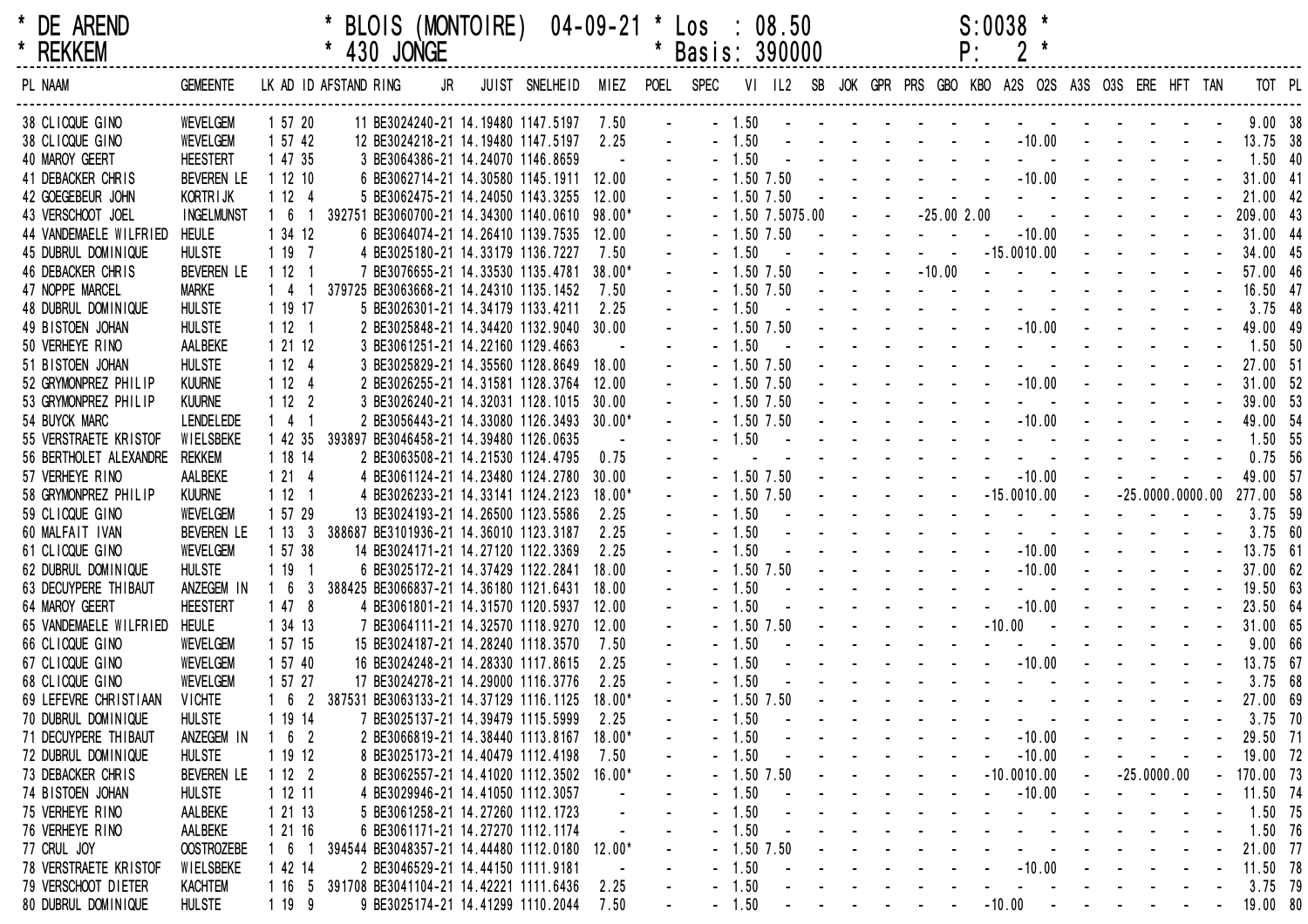| * | <b>DE ARENI</b> |
|---|-----------------|
| * | DCKKCM          |

| DE AREND      | * BLOIS (MONTOIRE)  04-09-21 * Los : 08.50 |                 | $S:0038$ * |  |
|---------------|--------------------------------------------|-----------------|------------|--|
| <b>REKKEM</b> | * 430 JONGE                                | * Basis: 390000 |            |  |

| PL NAAM                | <b>GEMEENTE</b>   |            |   | LK AD ID AFSTAND RING | JR                                                  | JUIST SNELHEID MIEZ POEL SPEC |                   |                  |                |                    |                  |            |                                   |                                                                 |                                             |                                                                                                                       | VI IL2 SB JOK GPR PRS GBO KBO A2S O2S A3S O3S ERE HFT TAN                                                                                                                                                                     |            |                                                           |                    |  | TOT PL            |  |
|------------------------|-------------------|------------|---|-----------------------|-----------------------------------------------------|-------------------------------|-------------------|------------------|----------------|--------------------|------------------|------------|-----------------------------------|-----------------------------------------------------------------|---------------------------------------------|-----------------------------------------------------------------------------------------------------------------------|-------------------------------------------------------------------------------------------------------------------------------------------------------------------------------------------------------------------------------|------------|-----------------------------------------------------------|--------------------|--|-------------------|--|
| 38 CLICQUE GINO        | <b>WEVELGEM</b>   | 1 57 20    |   |                       | 11 BE3024240-21 14.19480 1147.5197                  |                               | 7.50              |                  |                | $-1.50$ $    -$    |                  |            |                                   |                                                                 |                                             |                                                                                                                       |                                                                                                                                                                                                                               |            |                                                           |                    |  | 9.0038            |  |
| 38 CLICQUE GINO        | <b>WEVELGEM</b>   | 1 57 42    |   |                       | 12 BE3024218-21 14.19480 1147.5197                  |                               | 2.25              |                  | $-1.50$        |                    |                  |            |                                   |                                                                 |                                             | the contract of the contract of                                                                                       | $-10.00$                                                                                                                                                                                                                      |            |                                                           |                    |  | 13.75 38          |  |
| 40 MAROY GEERT         | <b>HEESTERT</b>   | 1 47 35    |   |                       | 3 BE3064386-21 14.24070 1146.8659                   |                               |                   |                  | $-1.50$        |                    |                  |            |                                   |                                                                 |                                             |                                                                                                                       |                                                                                                                                                                                                                               |            |                                                           |                    |  | $1.50$ 40         |  |
| 41 DEBACKER CHRIS      | <b>BEVEREN LE</b> | 1 12 10    |   |                       | 6 BE3062714-21 14.30580 1145.1911                   |                               | 12.00             | $\sim$           | $-1.50$ 7.50   |                    |                  |            |                                   |                                                                 |                                             | $\mathbf{1}^{\prime}$ , $\mathbf{1}^{\prime}$ , $\mathbf{1}^{\prime}$ , $\mathbf{1}^{\prime}$ , $\mathbf{1}^{\prime}$ | $-10.00$                                                                                                                                                                                                                      |            |                                                           |                    |  | 31.00 41          |  |
| 42 GOEGEBEUR JOHN      | KORTR I JK        | 1124       |   |                       | 5 BE3062475-21 14.24050 1143.3255                   |                               | 12.00             | $\sim$           | $-1.50$ $7.50$ |                    | $\sim$ $-$       |            |                                   |                                                                 |                                             | $\omega_{\rm{eff}}=0.01$ and $\omega_{\rm{eff}}=0.01$                                                                 | and the state of the state of                                                                                                                                                                                                 |            |                                                           |                    |  | 21.00 42          |  |
| 43 VERSCHOOT JOEL      | <b>INGELMUNST</b> | 1 6 1      |   |                       | 392751 BE3060700-21 14.34300 1140.0610              |                               | 98.00*            |                  |                | $-1.5075.00$       |                  | $\sim 100$ | $\sim$                            |                                                                 |                                             | $-25.002.00$                                                                                                          | $\omega_{\rm{eff}}=2.0\pm0.00$                                                                                                                                                                                                |            |                                                           |                    |  | 209.00 43         |  |
| 44 VANDEMAELE WILFRIED | <b>HEULE</b>      | 1 34 12    |   |                       | 6 BE3064074-21 14.26410 1139.7535                   |                               | 12.00             |                  | $-1.50$ 7.50   |                    | $\sim$ $-$       |            |                                   |                                                                 |                                             | $\sim$ $-$                                                                                                            | $-10.00$                                                                                                                                                                                                                      |            |                                                           |                    |  | 31.00 44          |  |
| 45 DUBRUL DOMINIQUE    | <b>HULSTE</b>     | 1197       |   |                       | 4 BE3025180-21 14.33179 1136.7227                   |                               | 7.50              |                  | $-1.50$        | $\sim$ $-$         | $\sim$ 100 $\pm$ |            |                                   |                                                                 | $\mathbf{m} = \mathbf{m} \times \mathbf{m}$ |                                                                                                                       | $-15.0010.00$                                                                                                                                                                                                                 |            | <b>Contract Contract Contract</b>                         |                    |  | 34.00 45          |  |
| 46 DEBACKER CHRIS      | BEVEREN LE        | 1121       |   |                       | 7 BE3076655-21 14.33530 1135.4781                   |                               | $38.00*$          |                  | $-1.50$ 7.50   |                    |                  | $\sim 100$ |                                   |                                                                 | $-10.00$                                    |                                                                                                                       | and a straight and a straight                                                                                                                                                                                                 |            |                                                           |                    |  | 57.00 46          |  |
| 47 NOPPE MARCEL        | Marke             | $1\quad 4$ |   |                       | 379725 BE3063668-21 14.24310 1135.1452              |                               | 7.50              |                  | $-1.50$ $7.50$ |                    |                  |            |                                   |                                                                 |                                             |                                                                                                                       | and a series of the contract of the                                                                                                                                                                                           |            |                                                           |                    |  | 16.50 47          |  |
| 48 DUBRUL DOMINIQUE    | <b>HULSTE</b>     | 1 19 17    |   |                       | 5 BE3026301-21 14.34179 1133.4211                   |                               | 2.25              |                  | $-1.50$        |                    |                  |            | and the state of the state of the |                                                                 |                                             |                                                                                                                       |                                                                                                                                                                                                                               |            |                                                           |                    |  | $3.75$ 48         |  |
| 49 BISTOEN JOHAN       | <b>HULSTE</b>     | 1121       |   |                       | 2 BE3025848-21 14.34420 1132.9040                   |                               | 30.00             |                  | $-1.50$ 7.50   |                    |                  |            |                                   |                                                                 |                                             | $\mathbf{u} = \mathbf{u} + \mathbf{u}$ , where $\mathbf{u} = \mathbf{u}$                                              | $-10.00 - -$                                                                                                                                                                                                                  |            |                                                           |                    |  | 49.00 49          |  |
| 50 VERHEYE RINO        | AALBEKE           | 1 21 12    |   |                       | 3 BE3061251-21 14.22160 1129.4663                   |                               |                   |                  | $-1.50$        |                    |                  |            |                                   |                                                                 |                                             |                                                                                                                       | design and a state of the state of the                                                                                                                                                                                        |            |                                                           |                    |  | 1.50 50           |  |
| 51 BISTOEN JOHAN       | <b>HULSTE</b>     | 1124       |   |                       | 3 BE3025829-21 14.35560 1128.8649                   |                               | 18.00             | $\sim$           | $-1.50$ 7.50   |                    |                  |            |                                   |                                                                 |                                             |                                                                                                                       |                                                                                                                                                                                                                               |            |                                                           |                    |  | 27.00 51          |  |
| 52 GRYMONPREZ PHILIP   | <b>KUURNE</b>     | 1124       |   |                       | 2 BE3026255-21 14.31581 1128.3764                   |                               | 12.00             |                  | $-1.50$ 7.50   |                    |                  |            |                                   |                                                                 |                                             | <b>Service Control</b>                                                                                                | $-10.00$                                                                                                                                                                                                                      |            |                                                           |                    |  | 31.00 52          |  |
| 53 GRYMONPREZ PHILIP   | <b>KUURNE</b>     | 1122       |   |                       | 3 BE3026240-21 14.32031 1128.1015                   |                               | 30.00             |                  | $-1.50$ 7.50   |                    |                  |            |                                   |                                                                 |                                             |                                                                                                                       |                                                                                                                                                                                                                               |            |                                                           |                    |  | 39.00 53          |  |
| 54 BUYCK MARC          | <b>LENDELEDE</b>  | 141        |   |                       | 2 BE3056443-21 14.33080 1126.3493                   |                               | $30.00*$          |                  | $-1.50$ 7.50   |                    |                  |            |                                   |                                                                 |                                             | $\Delta \phi = \Delta \phi = 0.02$                                                                                    | $-10.00$                                                                                                                                                                                                                      |            |                                                           |                    |  | 49.00 54          |  |
| 55 VERSTRAETE KRISTOF  | WIELSBEKE         | 1 42 35    |   |                       | 393897 BE3046458-21 14.39480 1126.0635              |                               |                   |                  | $-1.50$        |                    |                  |            |                                   |                                                                 |                                             |                                                                                                                       | and a series of the contract and a                                                                                                                                                                                            |            |                                                           |                    |  | 1.50 55           |  |
| 56 BERTHOLET ALEXANDRE | Rekkem            | 1 18 14    |   |                       | 2 BE3063508-21 14.21530 1124.4795                   |                               | 0.75              |                  |                |                    |                  |            |                                   |                                                                 |                                             |                                                                                                                       |                                                                                                                                                                                                                               |            |                                                           |                    |  | 0.75556           |  |
| 57 VERHEYE RINO        | AALBEKE           | 1214       |   |                       | 4 BE3061124-21 14.23480 1124.2780                   |                               | 30.00             |                  |                | $-1.50$ $7.50$ $-$ |                  |            |                                   |                                                                 |                                             |                                                                                                                       | $-10.00$                                                                                                                                                                                                                      |            |                                                           |                    |  | 49.00 57          |  |
| 58 GRYMONPREZ PHILIP   | <b>KUURNE</b>     | 1121       |   |                       | 4 BE3026233-21 14.33141 1124.2123                   |                               | $18.00*$          |                  | $-1.50$ $7.50$ |                    |                  |            |                                   | $\Delta\phi$ and $\Delta\phi$ and $\Delta\phi$ and $\Delta\phi$ |                                             |                                                                                                                       | $-15.0010.00$                                                                                                                                                                                                                 | $\sim 100$ |                                                           | $-25.0000.0000.00$ |  | 277.00 58         |  |
| 59 CLICQUE GINO        | <b>WEVELGEM</b>   | 1 57 29    |   |                       | 13 BE3024193-21 14.26500 1123.5586                  |                               | 2.25              |                  | $-1.50$        |                    |                  |            |                                   |                                                                 |                                             |                                                                                                                       | the contract of the contract of                                                                                                                                                                                               |            |                                                           |                    |  | $3.75$ 59         |  |
| 60 MALFAIT IVAN        | <b>BEVEREN LE</b> | 1133       |   |                       | 388687 BE3101936-21 14.36010 1123.3187              |                               | 2.25              |                  | $-1.50$        |                    |                  |            |                                   |                                                                 |                                             |                                                                                                                       |                                                                                                                                                                                                                               |            |                                                           |                    |  | 3.7560            |  |
| 61 CLICQUE GINO        | <b>WEVELGEM</b>   | 1 57 38    |   |                       | 14 BE3024171-21 14.27120 1122.3369                  |                               | 2.25              |                  | $-1.50$        |                    |                  |            |                                   |                                                                 |                                             |                                                                                                                       | $-10.00$                                                                                                                                                                                                                      |            |                                                           |                    |  | 13.75 61          |  |
| 62 DUBRUL DOMINIQUE    | <b>HULSTE</b>     | 119        |   |                       | 6 BE3025172-21 14.37429 1122.2841                   |                               | 18.00             |                  | $-1.50$ 7.50   |                    |                  |            |                                   |                                                                 |                                             | $\mathbf{u} = \mathbf{u} + \mathbf{u}$ , where $\mathbf{u} = \mathbf{u}$                                              | $-10.00$                                                                                                                                                                                                                      |            |                                                           |                    |  | 37.00 62          |  |
| 63 DECUYPERE THIBAUT   | ANZEGEM IN        | $1\quad6$  | 3 |                       | 388425 BE3066837-21 14.36180 1121.6431              |                               | 18.00             |                  | $-1.50$        |                    |                  |            |                                   |                                                                 |                                             |                                                                                                                       | $\mathbf{a}^{\prime}$ , $\mathbf{a}^{\prime}$ , $\mathbf{a}^{\prime}$ , $\mathbf{a}^{\prime}$ , $\mathbf{a}^{\prime}$                                                                                                         |            |                                                           |                    |  | 19.50 63          |  |
| 64 MAROY GEERT         | <b>HEESTERT</b>   | 1478       |   |                       | 4 BE3061801-21 14.31570 1120.5937                   |                               | 12.00             |                  | 1.50           |                    |                  |            |                                   |                                                                 |                                             |                                                                                                                       | $-10.00$                                                                                                                                                                                                                      |            |                                                           |                    |  | 23.50 64          |  |
| 65 VANDEMAELE WILFRIED | <b>HEULE</b>      | 1 34 13    |   |                       | 7 BE3064111-21 14.32570 1118.9270                   |                               | 12.00             |                  | $-1.50$ 7.50   |                    |                  |            |                                   |                                                                 |                                             |                                                                                                                       | $-10.00 -$                                                                                                                                                                                                                    |            | $\mathcal{L}(\mathcal{A})$ and $\mathcal{L}(\mathcal{A})$ |                    |  | 31.00 65          |  |
| 66 CLICQUE GINO        | <b>WEVELGEM</b>   | 1 57 15    |   |                       | 15 BE3024187-21 14.28240 1118.3570                  |                               | 7.50              |                  | $-1.50$        |                    |                  |            |                                   |                                                                 |                                             |                                                                                                                       |                                                                                                                                                                                                                               |            |                                                           |                    |  | 9.0066            |  |
| 67 CLICQUE GINO        | <b>WEVELGEM</b>   | 1 57 40    |   |                       | 16 BE3024248-21 14.28330 1117.8615                  |                               | 2.25              |                  | 1.50           |                    |                  |            |                                   |                                                                 |                                             |                                                                                                                       | $-10.00$                                                                                                                                                                                                                      |            |                                                           |                    |  | 13.75 67          |  |
| 68 CLICQUE GINO        | <b>WEVELGEM</b>   | 1 57 27    |   |                       | 17 BE3024278-21 14.29000 1116.3776                  |                               | 2.25              | $\sim$           | 1.50           |                    |                  |            |                                   |                                                                 |                                             |                                                                                                                       | design and a state of the state                                                                                                                                                                                               |            |                                                           |                    |  | 3.7568            |  |
| 69 LEFEVRE CHRISTIAAN  | <b>VICHTE</b>     | 1 6 2      |   |                       | 387531 BE3063133-21 14.37129 1116.1125              |                               | $18.00*$          |                  | $-1.50$ 7.50   |                    |                  |            |                                   |                                                                 |                                             |                                                                                                                       | and a series of the contract and a                                                                                                                                                                                            |            |                                                           |                    |  | 27.00 69          |  |
| 70 DUBRUL DOMINIQUE    | <b>HULSTE</b>     | 1 19 14    |   |                       | 7 BE3025137-21 14.39479 1115.5999                   |                               | 2.25              |                  | $-1.50$        |                    |                  |            |                                   |                                                                 |                                             |                                                                                                                       |                                                                                                                                                                                                                               |            |                                                           |                    |  | $3.75$ 70         |  |
| 71 DECUYPERE THIBAUT   | ANZEGEM IN        | 162        |   |                       | 2 BE3066819-21 14.38440 1113.8167                   |                               | $18.00*$          |                  | $-1.50$        |                    |                  |            |                                   |                                                                 |                                             |                                                                                                                       | $-10.00$                                                                                                                                                                                                                      |            |                                                           |                    |  | 29.50 71          |  |
| 72 DUBRUL DOMINIQUE    | <b>HULSTE</b>     | 1 19 12    |   |                       | 8 BE3025173-21 14.40479 1112.4198 7.50              |                               |                   |                  | $-1.50$        |                    |                  |            |                                   |                                                                 |                                             |                                                                                                                       | $-10.00$                                                                                                                                                                                                                      |            |                                                           |                    |  | 19.00 72          |  |
| 73 DEBACKER CHRIS      | BEVEREN LE 1 12 2 |            |   |                       | 8 BE3062557-21 14.41020 1112.3502 16.00*            |                               |                   | $\sim 100$       |                |                    |                  |            |                                   |                                                                 |                                             |                                                                                                                       | $-1.50$ 7.50 $    -10.0010.00$ $ -25.0000.00$                                                                                                                                                                                 |            |                                                           |                    |  | $-170.00$ 73      |  |
| 74 BISTOEN JOHAN       | <b>HULSTE</b>     | 1 12 11    |   |                       | 4 BE3029946-21 14.41050 1112.3057                   |                               |                   |                  |                |                    |                  |            |                                   |                                                                 |                                             |                                                                                                                       | $-1.50$ $        -10.00$ $  -$                                                                                                                                                                                                |            |                                                           |                    |  | $-11.50$ 74       |  |
| 75 VERHEYE RINO        | AALBEKE           | 1 21 13    |   |                       | 5 BE3061258-21 14.27260 1112.1723                   |                               |                   |                  |                |                    |                  |            |                                   |                                                                 |                                             |                                                                                                                       | $-1.50$ . The second contract of the second contract of the second contract of the second contract of the second contract of the second contract of the second contract of the second contract of the second contract of the  |            |                                                           |                    |  | 1.50 75           |  |
| 76 VERHEYE RINO        | AALBEKE           | 1 21 16    |   |                       | 6 BE3061171-21 14.27270 1112.1174                   |                               |                   |                  |                |                    |                  |            |                                   |                                                                 |                                             |                                                                                                                       | $-1.50$ . The set of the set of the set of the set of the set of the set of the set of the set of the set of the set of the set of the set of the set of the set of the set of the set of the set of the set of the set of th |            |                                                           |                    |  | 1.50 76           |  |
| 77 CRUL JOY            | <b>OOSTROZEBE</b> |            |   |                       | 1 6 1 394544 BE3048357-21 14.44480 1112.0180 12.00* |                               |                   | $\sim$ $^{-1}$   |                |                    |                  |            |                                   |                                                                 |                                             |                                                                                                                       |                                                                                                                                                                                                                               |            |                                                           |                    |  | 21.00 77          |  |
| 78 VERSTRAETE KRISTOF  | WIELSBEKE         | 1 42 14    |   |                       | 2 BE3046529-21 14.44150 1111.9181                   |                               | <b>Contractor</b> |                  |                |                    |                  |            |                                   |                                                                 |                                             |                                                                                                                       | $-1.50$ $-10.00$                                                                                                                                                                                                              |            |                                                           |                    |  | 11.50 78          |  |
| 79 VERSCHOOT DIETER    | KACHTEM           |            |   |                       | 1 16 5 391708 BE3041104-21 14.42221 1111.6436 2.25  |                               |                   | $\Delta \sim 10$ |                | $-1.50$ $    -$    |                  |            |                                   |                                                                 |                                             |                                                                                                                       |                                                                                                                                                                                                                               |            |                                                           |                    |  |                   |  |
|                        |                   |            |   |                       |                                                     |                               |                   |                  |                |                    |                  |            |                                   |                                                                 |                                             |                                                                                                                       |                                                                                                                                                                                                                               |            |                                                           |                    |  | $      -$ 3.75 79 |  |
| 80 DUBRUL DOMINIQUE    | HULSTE            | 1 19 9     |   |                       | 9 BE3025174-21 14.41299 1110.2044 7.50              |                               |                   | $\sim 100$       |                |                    |                  |            |                                   |                                                                 |                                             |                                                                                                                       | $-1.50$ $     -10.00$ $      19.00$ 80                                                                                                                                                                                        |            |                                                           |                    |  |                   |  |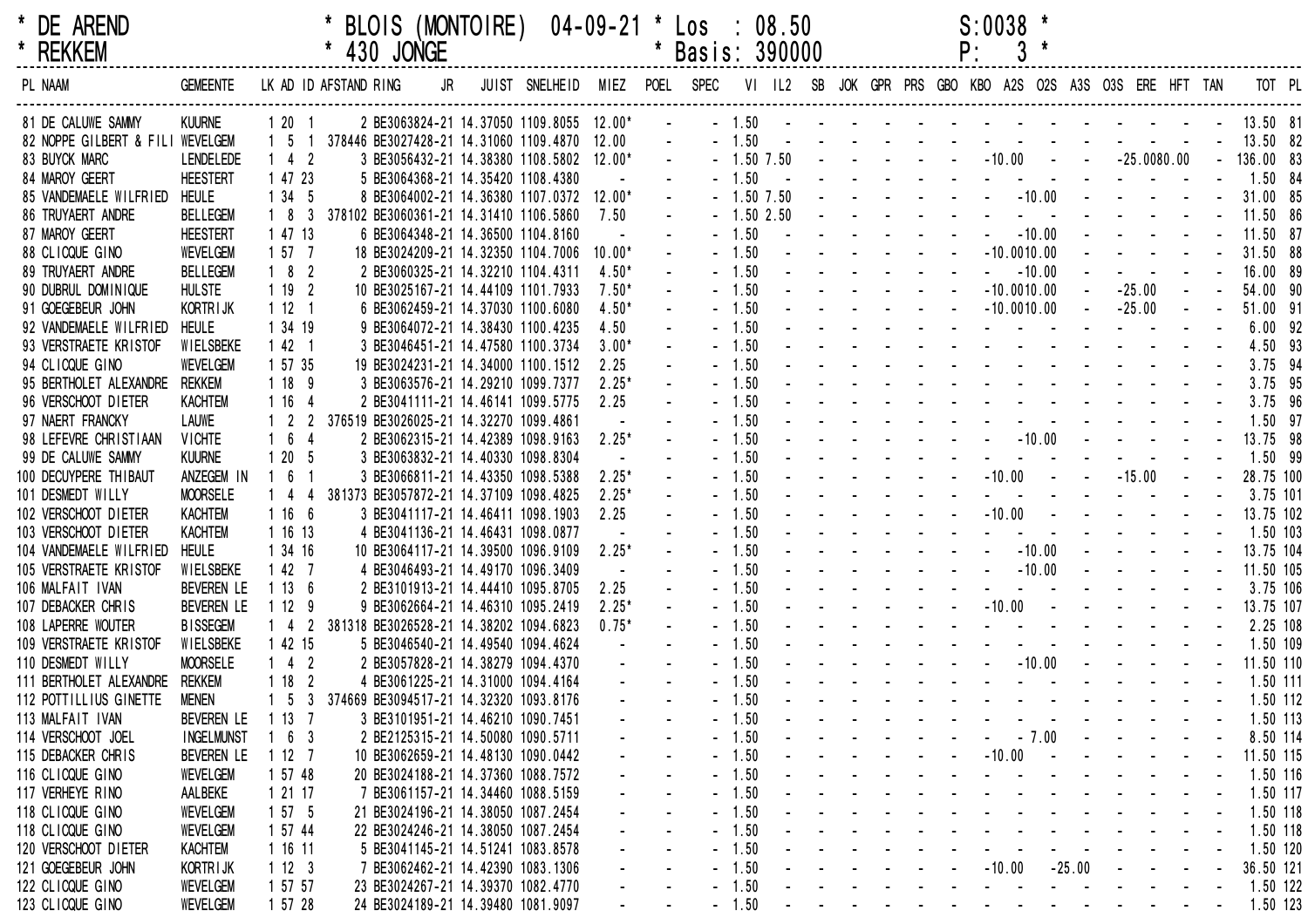| k | <b>DE AREND</b> |
|---|-----------------|
| k | <b>REKKEM</b>   |

| * DE AREND |             | * BLOIS (MONTOIRE)  04-09-21 * Los : 08.50 | $S:0038$ * |
|------------|-------------|--------------------------------------------|------------|
| * REKKEM   | * 430 JONGE | * Basis: 390000                            |            |

| * REKKEM                         |                   |                   | 430 JONGE<br>*        |                                          |                               |          | *      | Basis: 390000 |              |  |            |        |               |          |          |                                                           |               |           |           |
|----------------------------------|-------------------|-------------------|-----------------------|------------------------------------------|-------------------------------|----------|--------|---------------|--------------|--|------------|--------|---------------|----------|----------|-----------------------------------------------------------|---------------|-----------|-----------|
| PL NAAM                          | <b>GEMEENTE</b>   |                   | LK AD ID AFSTAND RING | JR                                       | JUIST SNELHEID MIEZ POEL SPEC |          |        |               |              |  |            |        |               |          |          | VI IL2 SB JOK GPR PRS GBO KBO A2S O2S A3S O3S ERE HFT TAN |               |           | TOT PL    |
| 81 DE CALUWE SAMMY               | <b>KUURNE</b>     | $120$             |                       | 2 BE3063824-21 14.37050 1109.8055 12.00* |                               |          |        |               | $-1.50$      |  |            |        |               |          |          |                                                           |               | 13.50 81  |           |
| 82 NOPPE GILBERT & FILI WEVELGEM |                   | -5                |                       | 378446 BE3027428-21 14.31060 1109.4870   |                               | 12.00    |        |               | $-1.50$      |  |            |        |               |          |          |                                                           |               | 13.50 82  |           |
| 83 BUYCK MARC                    | <b>LENDELEDE</b>  | 4<br>- 2          |                       | 3 BE3056432-21 14.38380 1108.5802        |                               | $12.00*$ |        |               | $-1.50$ 7.50 |  |            |        | $-10.00$      |          |          |                                                           | $-25.0080.00$ | 136.00 83 |           |
| 84 MAROY GEERT                   | <b>HEESTERT</b>   | 1 47 23           |                       | 5 BE3064368-21 14.35420 1108.4380        |                               |          |        |               | 1.50         |  |            |        |               |          |          |                                                           |               |           | 1.50 84   |
| 85 VANDEMAELE WILFRIED           | <b>HEULE</b>      | 1 34 5            |                       | 8 BE3064002-21 14.36380 1107.0372        |                               | 12.00*   | $\sim$ |               | $-1.50$ 7.50 |  |            |        |               | $-10.00$ |          |                                                           |               | 31.00 85  |           |
| 86 TRUYAERT ANDRE                | <b>BELLEGEM</b>   | - 8<br>- 3        |                       | 378102 BE3060361-21 14.31410 1106.5860   |                               | 7.50     |        |               | $-1.502.50$  |  |            |        |               |          |          |                                                           |               |           | 11.50 86  |
| 87 MAROY GEERT                   | <b>HEESTERT</b>   | 1 47 13           |                       | 6 BE3064348-21 14.36500 1104.8160        |                               |          |        |               | 1.50         |  |            |        |               | $-10.00$ |          |                                                           |               | 11.50 87  |           |
| 88 CLICQUE GINO                  | <b>WEVELGEM</b>   | 1577              |                       | 18 BE3024209-21 14.32350 1104.7006       |                               | $10.00*$ | $\sim$ |               | 1.50         |  |            |        | $-10.0010.00$ |          |          |                                                           |               |           | 31.50 88  |
| 89 TRUYAERT ANDRE                | <b>BELLEGEM</b>   | 18<br>- 2         |                       | 2 BE3060325-21 14.32210 1104.4311        |                               | $4.50*$  |        |               | 1.50         |  |            |        |               | $-10.00$ |          |                                                           |               |           | 16.00 89  |
| 90 DUBRUL DOMINIQUE              | <b>HULSTE</b>     | 1192              |                       | 10 BE3025167-21 14.44109 1101.7933       |                               | $7.50*$  |        |               | 1.50         |  |            |        | $-10.0010.00$ |          |          | $-25.00$                                                  |               |           | 54.00 90  |
| 91 GOEGEBEUR JOHN                | KORTRIJK          | 1121              |                       | 6 BE3062459-21 14.37030 1100.6080        |                               | $4.50*$  |        |               | 1.50         |  |            |        | $-10.0010.00$ |          |          | $-25.00$                                                  |               | 51.00 91  |           |
| 92 VANDEMAELE WILFRIED           | HEULE             | 1 34 19           |                       | 9 BE3064072-21 14.38430 1100.4235        |                               | 4.50     |        |               | 1.50         |  |            |        |               |          |          |                                                           |               |           | $6.00$ 92 |
| 93 VERSTRAETE KRISTOF            | WIELSBEKE         | 42 1              |                       | 3 BE3046451-21 14.47580 1100.3734        |                               | $3.00*$  |        |               | 1.50         |  |            |        |               |          |          |                                                           |               |           | 4.50 93   |
| 94 CLICQUE GINO                  | <b>WEVELGEM</b>   | 1 57 35           |                       | 19 BE3024231-21 14.34000 1100.1512       |                               | 2.25     |        |               | 1.50         |  |            |        |               |          |          |                                                           |               |           | 3.75 94   |
| 95 BERTHOLET ALEXANDRE           | rekkem            | 1 18 9            |                       | 3 BE3063576-21 14.29210 1099.7377        |                               | $2.25*$  |        |               | 1.50         |  |            |        |               |          |          |                                                           |               |           | 3.75 95   |
| 96 VERSCHOOT DIETER              | <b>KACHTEM</b>    | 1 16              |                       | 2 BE3041111-21 14.46141 1099.5775        |                               | 2.25     |        |               | 1.50         |  |            |        |               |          |          |                                                           |               |           | 3.75 96   |
| 97 NAERT FRANCKY                 | LAUWE             | $1\quad2$         |                       | 376519 BE3026025-21 14.32270 1099.4861   |                               | $\sim$   |        |               | 1.50         |  |            |        |               |          |          |                                                           |               |           | $1.50$ 97 |
| 98 LEFEVRE CHRISTIAAN            | <b>VICHTE</b>     | 6                 |                       | 2 BE3062315-21 14.42389 1098.9163        |                               | $2.25*$  |        |               | 1.50         |  |            |        |               | $-10.00$ |          |                                                           |               |           | 13.75 98  |
| 99 DE CALUWE SAMMY               | <b>KUURNE</b>     | 1 20<br>- 5       |                       | 3 BE3063832-21 14.40330 1098.8304        |                               | $\sim$   |        |               | 1.50         |  |            |        |               |          |          |                                                           |               |           | 1.50 99   |
| 100 DECUYPERE THIBAUT            | ANZEGEM IN        | 6                 |                       | 3 BE3066811-21 14.43350 1098.5388        |                               | $2.25*$  | $\sim$ |               | 1.50         |  |            |        | $-10.00$      |          |          | $-15.00$                                                  |               |           | 28.75 100 |
| 101 DESMEDT WILLY                | <b>MOORSELE</b>   | -4                |                       | 381373 BE3057872-21 14.37109 1098.4825   |                               | $2.25*$  |        |               | 1.50         |  |            |        |               |          |          |                                                           |               |           | 3.75 101  |
| 102 VERSCHOOT DIETER             | <b>KACHTEM</b>    | 1166              |                       | 3 BE3041117-21 14.46411 1098.1903        |                               | 2.25     |        |               | 1.50         |  |            |        | $-10.00$      |          |          |                                                           |               |           | 13.75 102 |
| 103 VERSCHOOT DIETER             | <b>KACHTEM</b>    | 1 16 13           |                       | 4 BE3041136-21 14.46431 1098.0877        |                               |          |        |               | 1.50         |  |            |        |               |          |          |                                                           |               |           | 1.50 103  |
| 104 VANDEMAELE WILFRIED          | <b>HEULE</b>      | 1 34 16           |                       | 10 BE3064117-21 14.39500 1096.9109       |                               | $2.25*$  | $\sim$ |               | 1.50         |  |            |        |               | $-10.00$ |          |                                                           |               |           | 13.75 104 |
| 105 VERSTRAETE KRISTOF           | WIELSBEKE         | 1427              |                       | 4 BE3046493-21 14.49170 1096.3409        |                               | $\sim$   |        |               | 1.50         |  |            |        |               | $-10.00$ |          |                                                           |               |           | 11.50 105 |
| 106 MALFAIT IVAN                 | <b>BEVEREN LE</b> | 1136              |                       | 2 BE3101913-21 14.44410 1095.8705        |                               | 2.25     | $\sim$ |               | 1.50         |  |            |        |               |          |          |                                                           |               |           | 3.75 106  |
| 107 DEBACKER CHRIS               | <b>BEVEREN LE</b> | 1129              |                       | 9 BE3062664-21 14.46310 1095.2419        |                               | $2.25*$  |        |               | 1.50         |  |            |        | $-10.00$      |          |          |                                                           |               |           | 13.75 107 |
| 108 LAPERRE WOUTER               | <b>BISSEGEM</b>   | 4<br>-2           |                       | 381318 BE3026528-21 14.38202 1094.6823   |                               | $0.75*$  |        |               | 1.50         |  |            |        |               |          |          |                                                           |               |           | 2.25 108  |
| 109 VERSTRAETE KRISTOF           | WIELSBEKE         | 42 15             |                       | 5 BE3046540-21 14.49540 1094.4624        |                               |          |        |               | 1.50         |  |            |        |               |          |          |                                                           |               |           | 1.50 109  |
| 110 DESMEDT WILLY                | <b>MOORSELE</b>   | $142$             |                       | 2 BE3057828-21 14.38279 1094.4370        |                               |          |        |               | 1.50         |  |            |        |               | $-10.00$ |          |                                                           |               |           | 11.50 110 |
| 111 BERTHOLET ALEXANDRE          | rekkem            | 118<br>- 2        |                       | 4 BE3061225-21 14.31000 1094.4164        |                               |          |        |               | 1.50         |  |            |        |               |          |          |                                                           |               |           | 1.50 111  |
| 112 POTTILLIUS GINETTE           | <b>MENEN</b>      | 1 5<br>-3         |                       | 374669 BE3094517-21 14.32320 1093.8176   |                               |          |        |               | 1.50         |  |            |        |               |          |          |                                                           |               |           | 1.50 112  |
| 113 MALFAIT IVAN                 | <b>BEVEREN LE</b> | 13 7              |                       | 3 BE3101951-21 14.46210 1090.7451        |                               |          |        |               | 1.50         |  |            |        |               |          |          |                                                           |               |           | 1.50 113  |
| 114 VERSCHOOT JOEL               | <b>INGELMUNST</b> | $1\quad 6$<br>- 3 |                       | 2 BE2125315-21 14.50080 1090.5711        |                               |          |        |               | $-1.50$      |  |            |        |               | $-7.00$  |          |                                                           |               |           | 8.50 114  |
| 115 DEBACKER CHRIS               | <b>BEVEREN LE</b> | 1127              |                       | 10 BE3062659-21 14.48130 1090.0442       |                               |          |        |               | $-1.50$      |  |            |        | $-10.00$      |          |          |                                                           |               |           | 11.50 115 |
| 116 CLICQUE GINO                 | <b>WEVELGEM</b>   | 1 57 48           |                       | 20 BE3024188-21 14.37360 1088.7572       |                               |          |        |               | $-1.50$      |  |            |        |               |          |          |                                                           |               |           | 1.50 116  |
| 117 VERHEYE RINO                 | AALBEKE           | 1 21 17           |                       | 7 BE3061157-21 14.34460 1088.5159        |                               |          |        |               | $-1.50$      |  |            |        |               |          |          |                                                           |               |           | 1.50 117  |
| 118 CLICQUE GINO                 | <b>WEVELGEM</b>   | 1575              |                       | 21 BE3024196-21 14.38050 1087.2454       |                               |          |        |               | $-1.50$      |  |            |        |               |          |          |                                                           |               |           | 1.50 118  |
| 118 CLICQUE GINO                 | <b>WEVELGEM</b>   | 1 57 44           |                       | 22 BE3024246-21 14.38050 1087.2454       |                               |          |        |               | $-1.50$      |  |            |        |               |          |          |                                                           |               |           | 1.50 118  |
| 120 VERSCHOOT DIETER             | <b>KACHTEM</b>    | 1 16 11           |                       | 5 BE3041145-21 14.51241 1083.8578        |                               |          |        |               | $-1.50$      |  |            |        |               |          |          |                                                           |               |           | 1.50 120  |
| 121 GOEGEBEUR JOHN               | KORTR I JK        | 1123              |                       | 7 BE3062462-21 14.42390 1083.1306        |                               |          |        |               | $-1.50$      |  | $\sim 100$ | $\sim$ | $-10.00$      |          | $-25.00$ |                                                           |               |           | 36.50 121 |
| 122 CLICQUE GINO                 | <b>WEVELGEM</b>   | 1 57 57           |                       | 23 BE3024267-21 14.39370 1082.4770       |                               |          |        |               | $-1.50$      |  |            |        |               |          |          |                                                           |               |           | 1.50 122  |
| 123 CLICQUE GINO                 | <b>WEVELGEM</b>   | 1 57 28           |                       | 24 BE3024189-21 14.39480 1081.9097       |                               |          |        |               | $-1.50$      |  |            |        |               |          |          |                                                           |               |           | 1.50 123  |